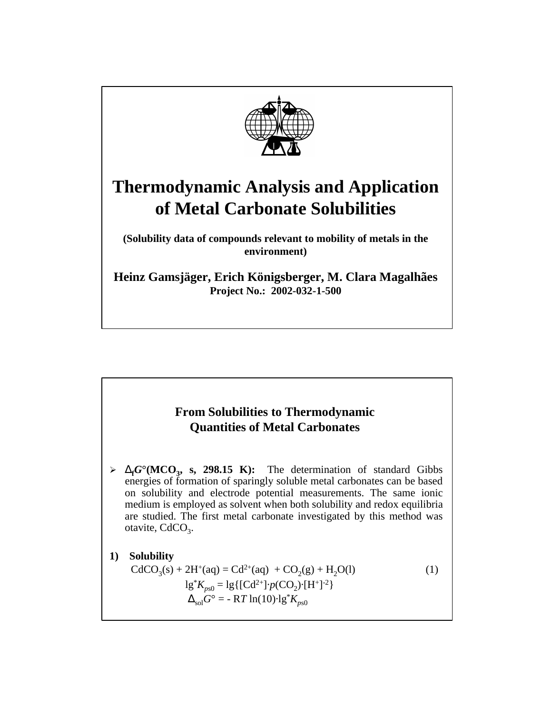

# **Thermodynamic Analysis and Application of Metal Carbonate Solubilities**

**(Solubility data of compounds relevant to mobility of metals in the environment)**

**Heinz Gamsjäger, Erich Königsberger, M. Clara Magalhães Project No.: 2002-032-1-500**

## **From Solubilities to Thermodynamic Quantities of Metal Carbonates**

- <sup>ÿ</sup> ∆**f***G***°(MCO<sup>3</sup> , s, 298.15 K):** The determination of standard Gibbs energies of formation of sparingly soluble metal carbonates can be based on solubility and electrode potential measurements. The same ionic medium is employed as solvent when both solubility and redox equilibria are studied. The first metal carbonate investigated by this method was otavite,  $CdCO<sub>3</sub>$ .
- **1) Solubility**

$$
CdCO3(s) + 2H+(aq) = Cd2+(aq) + CO2(g) + H2O(l)
$$
  
\n
$$
lg*Kps0 = lg{[Cd2+]\cdot p(CO2)\cdot[H+]-2}
$$
  
\n
$$
\Delta_{sol}Go = - RT \ln(10) \cdot lg*Kps0
$$
 (1)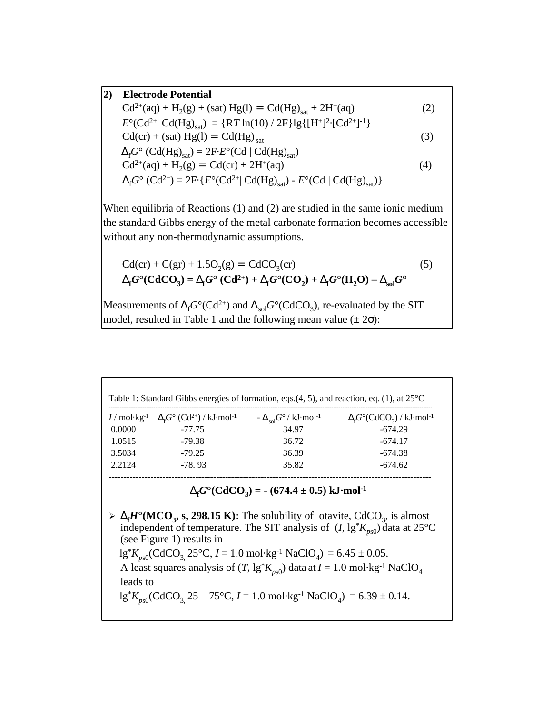| 2) | <b>Electrode Potential</b>                                                                                                                            |     |
|----|-------------------------------------------------------------------------------------------------------------------------------------------------------|-----|
|    | $Cd^{2+}(aq) + H_2(g) + (sat) Hg(l) = Cd(Hg)_{\text{cat}} + 2H^+(aq)$                                                                                 | (2) |
|    | $E^{\circ}(\text{Cd}^{2+} \text{Cd(Hg)}_{\text{sat}}) = \{RT \ln(10) / 2F\} \lg\{[H^+]^2 \cdot [Cd^{2+}]^{-1}\}$                                      |     |
|    | $Cd (cr) + (sat) Hg(l) = Cd (Hg)_{sat}$                                                                                                               | (3) |
|    | $\Delta_f G^{\circ}$ (Cd(Hg) <sub>sat</sub> ) = 2F·E <sup>o</sup> (Cd   Cd(Hg) <sub>sat</sub> )                                                       |     |
|    | $Cd^{2+}(aq) + H_2(g) = Cd (cr) + 2H^+(aq)$                                                                                                           | (4) |
|    | $\Delta_{f}G^{\circ}$ (Cd <sup>2+</sup> ) = 2F·{ $E^{\circ}$ (Cd <sup>2+</sup>   Cd(Hg) <sub>sat</sub> ) - $E^{\circ}$ (Cd   Cd(Hg) <sub>sat</sub> )} |     |

When equilibria of Reactions (1) and (2) are studied in the same ionic medium the standard Gibbs energy of the metal carbonate formation becomes accessible without any non-thermodynamic assumptions.

$$
Cd (cr) + C (gr) + 1.5 O2(g) = CdCO3(cr)
$$
\n
$$
\Delta_f G^{\circ} (CdCO_3) = \Delta_f G^{\circ} (Cd^{2+}) + \Delta_f G^{\circ} (CO_2) + \Delta_f G^{\circ} (H_2 O) - \Delta_{sol} G^{\circ}
$$
\n(5)

Measurements of  $\Delta_f G^{\circ}(\text{Cd}^{2+})$  and  $\Delta_{sol} G^{\circ}(\text{CdCO}_3)$ , re-evaluated by the SIT model, resulted in Table 1 and the following mean value  $(\pm 2\sigma)$ :

| Table 1: Standard Gibbs energies of formation, eqs. $(4, 5)$ , and reaction, eq. $(1)$ , at $25^{\circ}$ C |                                                                         |                                                    |                                                                        |  |  |
|------------------------------------------------------------------------------------------------------------|-------------------------------------------------------------------------|----------------------------------------------------|------------------------------------------------------------------------|--|--|
| $I/\text{mol·kg-1}$                                                                                        | $\Delta_{\epsilon}G^{\circ}$ (Cd <sup>2+</sup> ) / kJ·mol <sup>-1</sup> | $-\Delta_{\rm col} G^{\circ}/\rm kJ\cdot mol^{-1}$ | $\Delta_{\rm f} G^{\circ}$ (CdCO <sub>3</sub> ) / kJ·mol <sup>-1</sup> |  |  |
| 0.0000                                                                                                     | $-77.75$                                                                | 34.97                                              | $-674.29$                                                              |  |  |
| 1.0515                                                                                                     | $-79.38$                                                                | 36.72                                              | $-674.17$                                                              |  |  |
| 3.5034                                                                                                     | $-79.25$                                                                | 36.39                                              | $-674.38$                                                              |  |  |
| 2.2124                                                                                                     | $-78.93$                                                                | 35.82                                              | $-674.62$                                                              |  |  |
|                                                                                                            |                                                                         |                                                    |                                                                        |  |  |

#### $\Delta_f G^{\circ}(\text{CdCO}_3) = - (674.4 \pm 0.5) \text{ kJ·mol·1}$

 $\triangleright$  ∆<sub>f</sub>*H*<sup>°</sup>(MCO<sub>3</sub>, s, 298.15 K): The solubility of otavite, CdCO<sub>3</sub>, is almost independent of temperature. The SIT analysis of  $(I, \lg^*K_{ps0})$  data at 25°C (see Figure 1) results in  $lg^*K_{ps0}(CdCO_3, 25^{\circ}C, I = 1.0 \text{ mol} \cdot \text{kg}^{-1} \text{ NaClO}_4) = 6.45 \pm 0.05.$ 

A least squares analysis of  $(T, lg^*K_{ps0})$  data at  $I = 1.0$  mol·kg<sup>-1</sup> NaClO<sub>4</sub> leads to

 $lg^*K_{pso}(CdCO_{3,} 25 - 75^{\circ}C, I = 1.0 \text{ mol·kg-1 NaClO}_4) = 6.39 \pm 0.14.$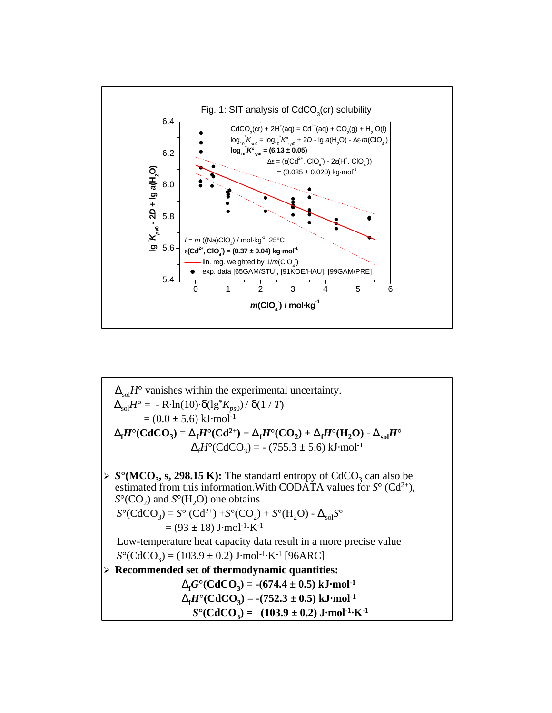

$$
\Delta_{sol}H^{\circ}
$$
 vanishes within the experimental uncertainty.  
\n
$$
\Delta_{sol}H^{\circ} = -R \cdot ln(10) \cdot \delta(lg^*K_{ps0}) / \delta(1/T)
$$
\n
$$
= (0.0 \pm 5.6) \text{ kJ} \cdot mol^{-1}
$$
\n
$$
\Delta_{f}H^{\circ}(\text{CdCO}_{3}) = \Delta_{f}H^{\circ}(\text{Cd}^{2+}) + \Delta_{f}H^{\circ}(\text{CO}_{2}) + \Delta_{f}H^{\circ}(\text{H}_{2}\text{O}) - \Delta_{sol}H^{\circ}
$$
\n
$$
\Delta_{f}H^{\circ}(\text{CdCO}_{3}) = -(755.3 \pm 5.6) \text{ kJ} \cdot mol^{-1}
$$
\n
$$
\geq S^{\circ}(\text{MCO}_{3}, \text{s}, 298.15 \text{ K}):
$$
 The standard entropy of CdCO<sub>3</sub> can also be estimated from this information. With CODATA values for  $S^{\circ}$  (Cd<sup>2+</sup>),  $S^{\circ}$  (CO<sub>2</sub>) and  $S^{\circ}$  (H<sub>2</sub>O) one obtains  
\n
$$
S^{\circ}(\text{CdCO}_{3}) = S^{\circ}(\text{Cd}^{2+}) + S^{\circ}(\text{CO}_{2}) + S^{\circ}(\text{H}_{2}\text{O}) - \Delta_{sol}S^{\circ}
$$
\n
$$
= (93 \pm 18) \text{ J} \cdot mol^{-1} \cdot \text{K}^{-1}
$$
\n
$$
\text{Low-temperature heat capacity data result in a more precise value}
$$
\n
$$
S^{\circ}(\text{CdCO}_{3}) = (103.9 \pm 0.2) \text{ J} \cdot mol^{-1} \cdot \text{K}^{-1} \left[ 96 \text{ARC} \right]
$$
\n
$$
\geq \text{Recommended set of thermodynamic quantities:}
$$
\n
$$
\Delta_{f}G^{\circ}(\text{CdCO}_{3}) = -(674.4 \pm 0.5) \text{ kJ} \cdot mol^{-1}
$$
\n
$$
\Delta_{f}H^{\circ}(\text{CdCO}_{3}) = -(752.3 \pm 0.5) \text{ kJ} \cdot mol^{-1}
$$
\n
$$
S^{\circ}(\text{CdCO}_{3}) = (103.9 \pm 0.2) \text{ J} \
$$